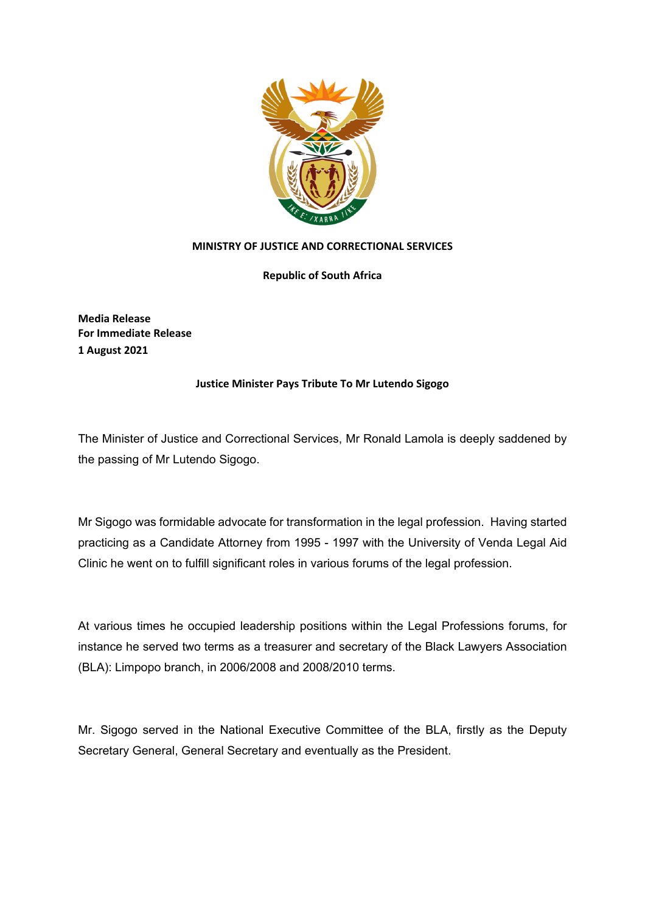

## **MINISTRY OF JUSTICE AND CORRECTIONAL SERVICES**

**Republic of South Africa**

**Media Release For Immediate Release 1 August 2021**

## **Justice Minister Pays Tribute To Mr Lutendo Sigogo**

The Minister of Justice and Correctional Services, Mr Ronald Lamola is deeply saddened by the passing of Mr Lutendo Sigogo.

Mr Sigogo was formidable advocate for transformation in the legal profession. Having started practicing as a Candidate Attorney from 1995 - 1997 with the University of Venda Legal Aid Clinic he went on to fulfill significant roles in various forums of the legal profession.

At various times he occupied leadership positions within the Legal Professions forums, for instance he served two terms as a treasurer and secretary of the Black Lawyers Association (BLA): Limpopo branch, in 2006/2008 and 2008/2010 terms.

Mr. Sigogo served in the National Executive Committee of the BLA, firstly as the Deputy Secretary General, General Secretary and eventually as the President.